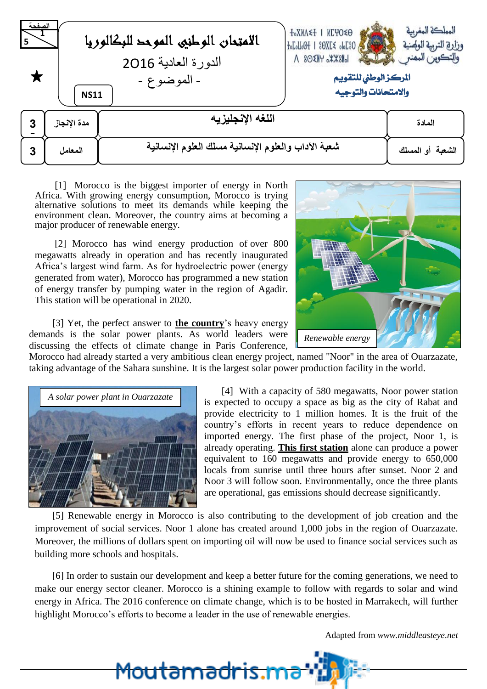| الصفحة<br>5 ا | الامتحان الوطنيى الموحد للبكالوريا<br>الدورة العادية 2016<br>- الموضوع -<br><b>NS11</b> | <b>T°XNV≤T   NCAO≤O</b><br>OSJOG >JKGS   HOOLOJOF<br>$\Lambda$ 80 $\times$ $H$ $\times$ $\times$ $H$<br>المركز الوطني للتقويم<br>والامتحانات والتوجيه | المملكة المغربية<br>وزارة التربية الولهنية<br>والتكوين المهنى |  |  |  |  |  |  |  |  |  |
|---------------|-----------------------------------------------------------------------------------------|-------------------------------------------------------------------------------------------------------------------------------------------------------|---------------------------------------------------------------|--|--|--|--|--|--|--|--|--|
| 3             | مدة الإنجاز                                                                             | اللغه الانجليزيه                                                                                                                                      | المادة                                                        |  |  |  |  |  |  |  |  |  |
| 3             | المعامل                                                                                 | شعبة الآداب والعلوم الإنسانية مسلك العلوم الإنسانية                                                                                                   |                                                               |  |  |  |  |  |  |  |  |  |

[1] Morocco is the biggest importer of energy in North Africa. With growing energy consumption, Morocco is trying alternative solutions to meet its demands while keeping the environment clean. Moreover, the country aims at becoming a major producer of renewable energy.

[2] Morocco has wind energy production of over 800 megawatts already in operation and has recently inaugurated Africa's largest wind farm. As for hydroelectric power (energy generated from water), Morocco has programmed a new station of energy transfer by pumping water in the region of Agadir. This station will be operational in 2020.

[3] Yet, the perfect answer to **the country**'s heavy energy demands is the solar power plants. As world leaders were discussing the effects of climate change in Paris Conference,



Morocco had already started a very ambitious clean energy project, named "Noor" in the area of Ouarzazate, taking advantage of the Sahara sunshine. It is the largest solar power production facility in the world.



[4] With a capacity of 580 megawatts, Noor power station is expected to occupy a space as big as the city of Rabat and provide electricity to 1 million homes. It is the fruit of the country's efforts in recent years to reduce dependence on imported energy. The first phase of the project, Noor 1, is already operating. **This first station** alone can produce a power equivalent to 160 megawatts and provide energy to 650,000 locals from sunrise until three hours after sunset. Noor 2 and Noor 3 will follow soon. Environmentally, once the three plants are operational, gas emissions should decrease significantly.

[5] Renewable energy in Morocco is also contributing to the development of job creation and the improvement of social services. Noor 1 alone has created around 1,000 jobs in the region of Ouarzazate. Moreover, the millions of dollars spent on importing oil will now be used to finance social services such as building more schools and hospitals.

[6] In order to sustain our development and keep a better future for the coming generations, we need to make our energy sector cleaner. Morocco is a shining example to follow with regards to solar and wind energy in Africa. The 2016 conference on climate change, which is to be hosted in Marrakech, will further highlight Morocco's efforts to become a leader in the use of renewable energies.

<u>Moutamadris.mi</u>

Adapted from *www.middleasteye.net*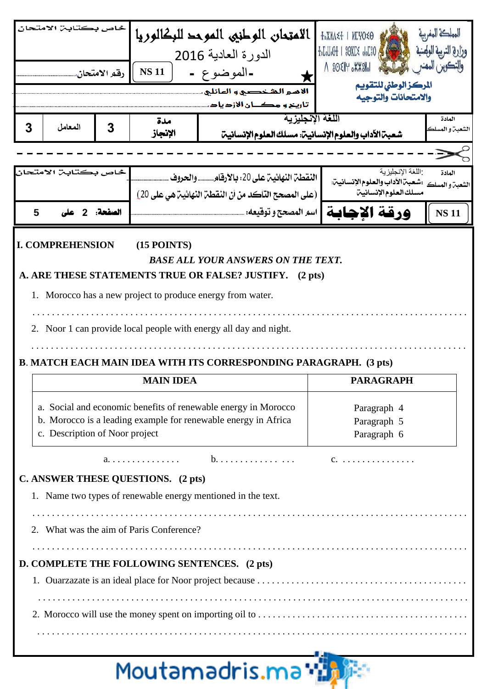|   | خاص بكتابـ، الامتحان                  | رقم الامتحان. | <b>NS11</b>                                                                    | الامتحان الوطني الموحد للبكالوريا<br>الدورة العادية 2016<br>-الموضوع -<br>الأمير الشخصيي و المائلي.<br>تأريخ و مکــان الأزدياد                                                                                                                                               | <b>+°XNV + NEAO &lt;6</b><br>$+$ <sub>0</sub> $L$ <sub>0</sub> $L$ <sub>0</sub> $+$ 1 $80$ X $L$ $\leq$ $0$ <sub>0</sub> $L$ <sup>3</sup> 0 $\leq$<br>$\Lambda$ 80 $\times$ $\mathbb{R}$ $\rightarrow$ $\mathbb{R}$ $\rightarrow$ $\mathbb{R}$<br>المركز الوطنى للتقويم<br>والامتحانات والتوجيه |                       |  |  |  |  |  |  |  |
|---|---------------------------------------|---------------|--------------------------------------------------------------------------------|------------------------------------------------------------------------------------------------------------------------------------------------------------------------------------------------------------------------------------------------------------------------------|-------------------------------------------------------------------------------------------------------------------------------------------------------------------------------------------------------------------------------------------------------------------------------------------------|-----------------------|--|--|--|--|--|--|--|
| 3 | المعامل                               | 3             | مدة<br>الإنجاز                                                                 | اللغة الإنجليزية<br>شعبت الآداب والعلوم الإنسانيت: مسلك العلوم الإنسانيت                                                                                                                                                                                                     |                                                                                                                                                                                                                                                                                                 | المادة                |  |  |  |  |  |  |  |
|   |                                       |               |                                                                                |                                                                                                                                                                                                                                                                              |                                                                                                                                                                                                                                                                                                 |                       |  |  |  |  |  |  |  |
| 5 | خاص بكتابـ. الامتحان<br>الصفحة: 2 على |               |                                                                                | النقطن النهائين على 20: بالأرقام والحروف.<br>(على المصحح التَّأكد من أن النِّقطَنِّ النَّهائينِّ هي على 20)<br>  اسم المصحح و توقيعه: .                                                                                                                                      | اللغة الإنجليزية<br>الشعبن والمسلك :شعبن الأداب والعلوم الإنسانين:<br>مسلك العلوم الإنسانين<br>ورقة الاحابة                                                                                                                                                                                     | المادة<br><b>NS11</b> |  |  |  |  |  |  |  |
|   |                                       |               |                                                                                | A. ARE THESE STATEMENTS TRUE OR FALSE? JUSTIFY.<br>$(2 \text{ pts})$<br>1. Morocco has a new project to produce energy from water.<br>2. Noor 1 can provide local people with energy all day and night.<br>B. MATCH EACH MAIN IDEA WITH ITS CORRESPONDING PARAGRAPH. (3 pts) |                                                                                                                                                                                                                                                                                                 |                       |  |  |  |  |  |  |  |
|   |                                       |               | <b>MAIN IDEA</b>                                                               |                                                                                                                                                                                                                                                                              | <b>PARAGRAPH</b>                                                                                                                                                                                                                                                                                |                       |  |  |  |  |  |  |  |
|   | c. Description of Noor project        |               |                                                                                | a. Social and economic benefits of renewable energy in Morocco<br>b. Morocco is a leading example for renewable energy in Africa                                                                                                                                             | Paragraph 4<br>Paragraph 5<br>Paragraph 6                                                                                                                                                                                                                                                       |                       |  |  |  |  |  |  |  |
|   |                                       |               |                                                                                |                                                                                                                                                                                                                                                                              |                                                                                                                                                                                                                                                                                                 |                       |  |  |  |  |  |  |  |
|   |                                       |               | C. ANSWER THESE QUESTIONS. (2 pts)<br>2. What was the aim of Paris Conference? | 1. Name two types of renewable energy mentioned in the text.                                                                                                                                                                                                                 |                                                                                                                                                                                                                                                                                                 |                       |  |  |  |  |  |  |  |
|   |                                       |               |                                                                                | D. COMPLETE THE FOLLOWING SENTENCES. (2 pts)                                                                                                                                                                                                                                 |                                                                                                                                                                                                                                                                                                 |                       |  |  |  |  |  |  |  |

# Moutamadris.ma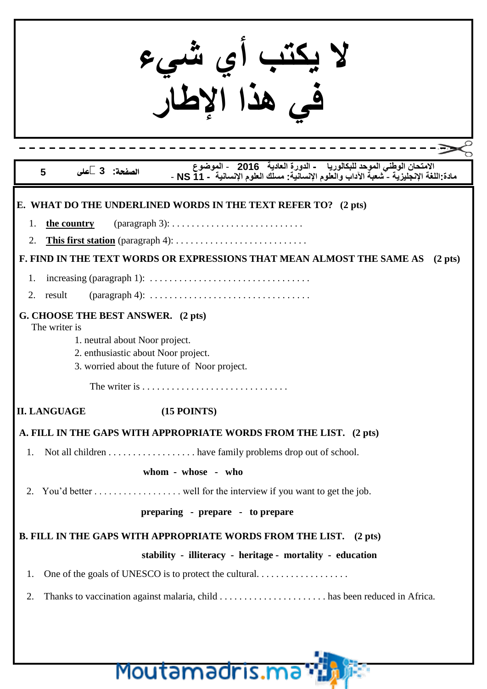| الامتحان الوطني الموحد للبكالوريا    - الدورة العادية    2016    - الموضوع     -<br>مادة اللغة الإنجليزية - شعبة الآداب والعلوم الإنسانية  مسلك العلوم الإنسانية  - NS 11  -<br>لصفحة: 3 على<br>5 |
|---------------------------------------------------------------------------------------------------------------------------------------------------------------------------------------------------|
| E. WHAT DO THE UNDERLINED WORDS IN THE TEXT REFER TO? (2 pts)                                                                                                                                     |
| $(paramph 3): \ldots \ldots \ldots \ldots \ldots \ldots \ldots \ldots$<br>the country<br>1.                                                                                                       |
| <b>This first station</b> (paragraph 4): $\dots \dots \dots \dots \dots \dots \dots \dots \dots$<br>2.                                                                                            |
| F. FIND IN THE TEXT WORDS OR EXPRESSIONS THAT MEAN ALMOST THE SAME AS<br>$(2 \text{ pts})$                                                                                                        |
|                                                                                                                                                                                                   |
| $(paramch 4): \ldots \ldots \ldots \ldots \ldots \ldots \ldots \ldots \ldots \ldots$<br>result<br>2.                                                                                              |
| G. CHOOSE THE BEST ANSWER. (2 pts)<br>The writer is                                                                                                                                               |
| 1. neutral about Noor project.                                                                                                                                                                    |
| 2. enthusiastic about Noor project.<br>3. worried about the future of Noor project.                                                                                                               |
| The writer is $\dots\dots\dots\dots\dots\dots\dots\dots\dots\dots\dots$                                                                                                                           |
| <b>II. LANGUAGE</b><br>$(15$ POINTS)                                                                                                                                                              |
| A. FILL IN THE GAPS WITH APPROPRIATE WORDS FROM THE LIST. (2 pts)                                                                                                                                 |
| Not all children have family problems drop out of school.<br>1.                                                                                                                                   |
| whom - whose - who                                                                                                                                                                                |
| 2.                                                                                                                                                                                                |
| preparing - prepare - to prepare                                                                                                                                                                  |
| B. FILL IN THE GAPS WITH APPROPRIATE WORDS FROM THE LIST. (2 pts)                                                                                                                                 |
| stability - illiteracy - heritage - mortality - education                                                                                                                                         |
| 1.                                                                                                                                                                                                |
| 2.                                                                                                                                                                                                |
|                                                                                                                                                                                                   |
|                                                                                                                                                                                                   |
|                                                                                                                                                                                                   |
| Moutamadris.ma*                                                                                                                                                                                   |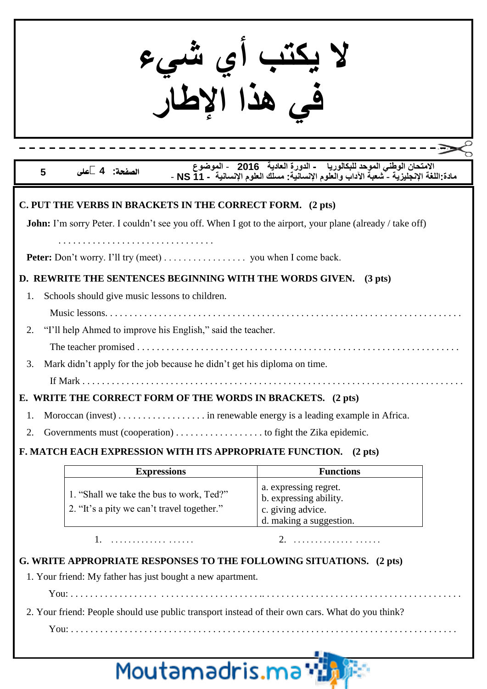| يكتب اي شي.<br>في هذا الاطل                                                                                                                                                                                                                                                                                                                                                                                                   |                                                                                                                                                                                       |
|-------------------------------------------------------------------------------------------------------------------------------------------------------------------------------------------------------------------------------------------------------------------------------------------------------------------------------------------------------------------------------------------------------------------------------|---------------------------------------------------------------------------------------------------------------------------------------------------------------------------------------|
| 5                                                                                                                                                                                                                                                                                                                                                                                                                             | الامتحان الوطني الموحد للبكالوريا     - الدورة العادية   2016   - الموضوع             .<br>مادة اللغة الإنجليزية - شعبة الآداب والعلوم الإنسانية   مسلك العلوم الإنسانية   - NS 11  - |
| C. PUT THE VERBS IN BRACKETS IN THE CORRECT FORM. (2 pts)<br><b>John:</b> I'm sorry Peter. I couldn't see you off. When I got to the airport, your plane (already / take off)<br>Peter: Don't worry. I'll try (meet) you when I come back.                                                                                                                                                                                    |                                                                                                                                                                                       |
| D. REWRITE THE SENTENCES BEGINNING WITH THE WORDS GIVEN. (3 pts)<br>Schools should give music lessons to children.<br>"I'll help Ahmed to improve his English," said the teacher.<br>2.<br>Mark didn't apply for the job because he didn't get his diploma on time.<br>3.<br>If Mark<br>E. WRITE THE CORRECT FORM OF THE WORDS IN BRACKETS. (2 pts)<br>1.<br>Governments must (cooperation) to fight the Zika epidemic.<br>2. |                                                                                                                                                                                       |
| F. MATCH EACH EXPRESSION WITH ITS APPROPRIATE FUNCTION. (2 pts)                                                                                                                                                                                                                                                                                                                                                               |                                                                                                                                                                                       |
| <b>Expressions</b><br>1. "Shall we take the bus to work, Ted?"<br>2. "It's a pity we can't travel together."                                                                                                                                                                                                                                                                                                                  | <b>Functions</b><br>a. expressing regret.<br>b. expressing ability.<br>c. giving advice.                                                                                              |
| G. WRITE APPROPRIATE RESPONSES TO THE FOLLOWING SITUATIONS. (2 pts)<br>1. Your friend: My father has just bought a new apartment.                                                                                                                                                                                                                                                                                             | d. making a suggestion.                                                                                                                                                               |
| 2. Your friend: People should use public transport instead of their own cars. What do you think?<br>Moutamadris.ma                                                                                                                                                                                                                                                                                                            |                                                                                                                                                                                       |